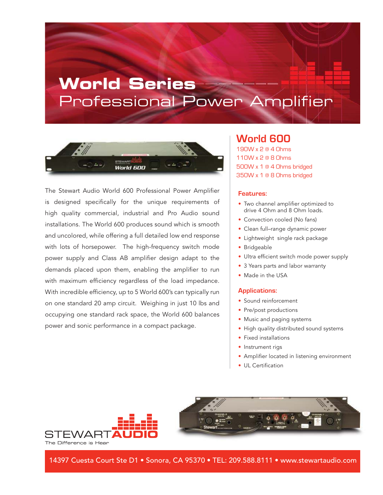# **World Series** Professional Power Amplifier



The Stewart Audio World 600 Professional Power Amplifier is designed specifically for the unique requirements of high quality commercial, industrial and Pro Audio sound installations. The World 600 produces sound which is smooth and uncolored, while offering a full detailed low end response with lots of horsepower. The high-frequency switch mode power supply and Class AB amplifier design adapt to the demands placed upon them, enabling the amplifier to run with maximum efficiency regardless of the load impedance. With incredible efficiency, up to 5 World 600's can typically run on one standard 20 amp circuit. Weighing in just 10 lbs and occupying one standard rack space, the World 600 balances power and sonic performance in a compact package.

### **World 600**

190W x 2 @ 4 Ohms 110W x 2 @ 8 Ohms 500W x 1 @ 4 Ohms bridged 350W x 1 @ 8 Ohms bridged

#### **Features:**

- Two channel amplifier optimized to drive 4 Ohm and 8 Ohm loads.
- Convection cooled (No fans)
- Clean full–range dynamic power
- Lightweight single rack package
- Bridgeable
- Ultra efficient switch mode power supply
- 3 Years parts and labor warranty
- Made in the USA

#### **Applications:**

- Sound reinforcement
- Pre/post productions
- Music and paging systems
- High quality distributed sound systems
- Fixed installations
- Instrument rigs
- Amplifier located in listening environment
- UL Certification





14397 Cuesta Court Ste D1 • Sonora, CA 95370 • TEL: 209.588.8111 • www.stewartaudio.com